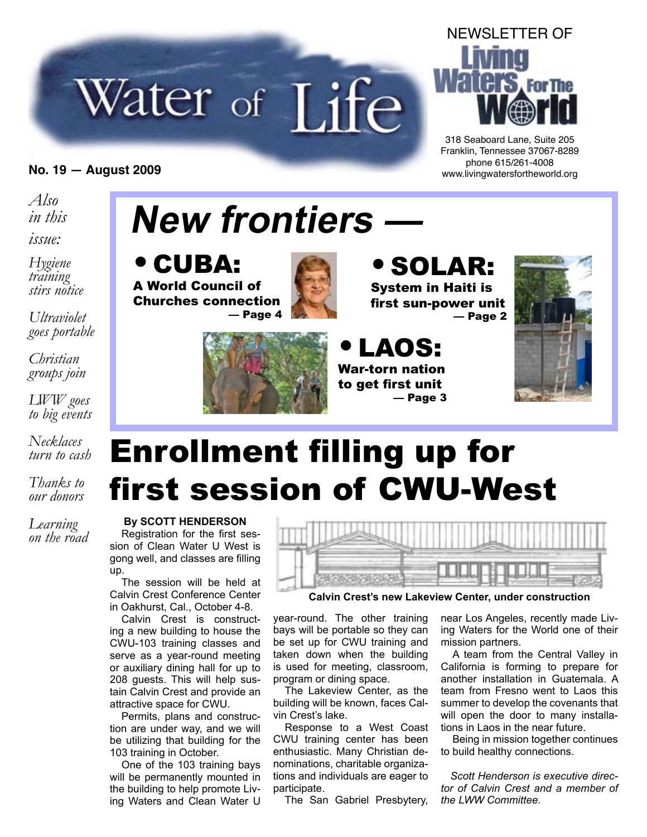# Water of Life



318 Seaboard Lane, Suite 205 Franklin, Tennessee 37067-8289 phone 615/261-4008 **No. 19 — August 2009** www.livingwatersfortheworld.org

*Also in this*

*issue:*

*Hygiene training stirs notice*

*Ultraviolet goes portable*

*Christian groups join*

*LWW goes to big events*

*Necklaces turn to cash*

*Thanks to our donors*

*Learning on the road*

# **New frontiers —**





# • SOLAR:

System in Haiti is first sun-power unit — Page 2



• LAOS: War-torn nation to get first unit — Page 3



# Enrollment filling up for first session of CWU-West

**By SCOTT HENDERSON** Registration for the first session of Clean Water U West is gong well, and classes are filling up.

The session will be held at Calvin Crest Conference Center in Oakhurst, Cal., October 4-8.

Calvin Crest is constructing a new building to house the CWU-103 training classes and serve as a year-round meeting or auxiliary dining hall for up to 208 guests. This will help sustain Calvin Crest and provide an attractive space for CWU.

Permits, plans and construction are under way, and we will be utilizing that building for the 103 training in October.

One of the 103 training bays will be permanently mounted in the building to help promote Living Waters and Clean Water U



**Calvin Crest's new Lakeview Center, under construction**

year-round. The other training bays will be portable so they can be set up for CWU training and taken down when the building is used for meeting, classroom, program or dining space.

The Lakeview Center, as the building will be known, faces Calvin Crest's lake.

Response to a West Coast CWU training center has been enthusiastic. Many Christian denominations, charitable organizations and individuals are eager to participate.

The San Gabriel Presbytery,

near Los Angeles, recently made Living Waters for the World one of their mission partners.

A team from the Central Valley in California is forming to prepare for another installation in Guatemala. A team from Fresno went to Laos this summer to develop the covenants that will open the door to many installations in Laos in the near future.

Being in mission together continues to build healthy connections.

*Scott Henderson is executive director of Calvin Crest and a member of the LWW Committee.*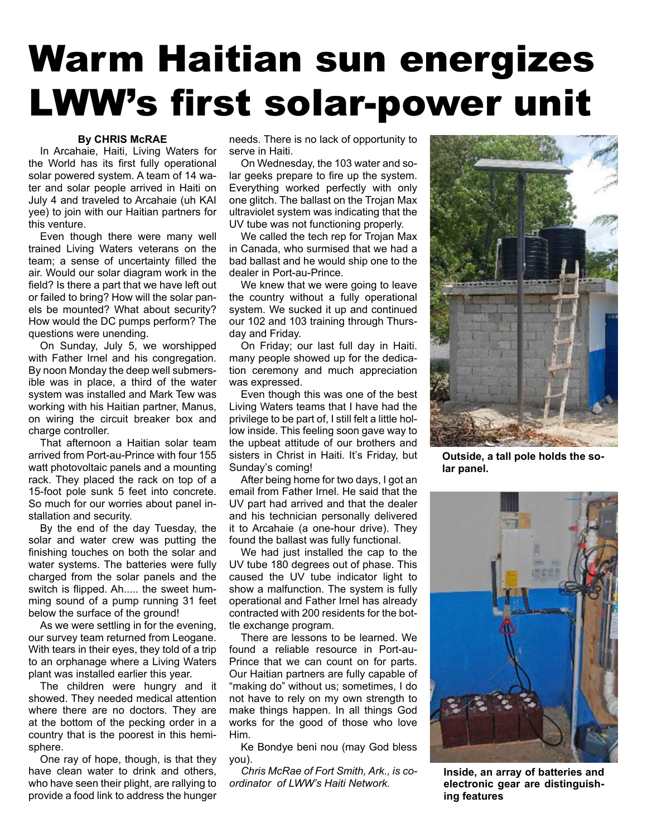# Warm Haitian sun energizes LWW's first solar-power unit

### **By CHRIS McRAE**

In Arcahaie, Haiti, Living Waters for the World has its first fully operational solar powered system. A team of 14 water and solar people arrived in Haiti on July 4 and traveled to Arcahaie (uh KAI yee) to join with our Haitian partners for this venture.

Even though there were many well trained Living Waters veterans on the team; a sense of uncertainty filled the air. Would our solar diagram work in the field? Is there a part that we have left out or failed to bring? How will the solar panels be mounted? What about security? How would the DC pumps perform? The questions were unending.

On Sunday, July 5, we worshipped with Father Irnel and his congregation. By noon Monday the deep well submersible was in place, a third of the water system was installed and Mark Tew was working with his Haitian partner, Manus, on wiring the circuit breaker box and charge controller.

That afternoon a Haitian solar team arrived from Port-au-Prince with four 155 watt photovoltaic panels and a mounting rack. They placed the rack on top of a 15-foot pole sunk 5 feet into concrete. So much for our worries about panel installation and security.

By the end of the day Tuesday, the solar and water crew was putting the finishing touches on both the solar and water systems. The batteries were fully charged from the solar panels and the switch is flipped. Ah..... the sweet humming sound of a pump running 31 feet below the surface of the ground!

As we were settling in for the evening, our survey team returned from Leogane. With tears in their eyes, they told of a trip to an orphanage where a Living Waters plant was installed earlier this year.

The children were hungry and it showed. They needed medical attention where there are no doctors. They are at the bottom of the pecking order in a country that is the poorest in this hemisphere.

One ray of hope, though, is that they have clean water to drink and others, who have seen their plight, are rallying to provide a food link to address the hunger

needs. There is no lack of opportunity to serve in Haiti.

On Wednesday, the 103 water and solar geeks prepare to fire up the system. Everything worked perfectly with only one glitch. The ballast on the Trojan Max ultraviolet system was indicating that the UV tube was not functioning properly.

We called the tech rep for Trojan Max in Canada, who surmised that we had a bad ballast and he would ship one to the dealer in Port-au-Prince.

We knew that we were going to leave the country without a fully operational system. We sucked it up and continued our 102 and 103 training through Thursday and Friday.

On Friday; our last full day in Haiti. many people showed up for the dedication ceremony and much appreciation was expressed.

Even though this was one of the best Living Waters teams that I have had the privilege to be part of, I still felt a little hollow inside. This feeling soon gave way to the upbeat attitude of our brothers and sisters in Christ in Haiti. It's Friday, but Sunday's coming!

After being home for two days, I got an email from Father Irnel. He said that the UV part had arrived and that the dealer and his technician personally delivered it to Arcahaie (a one-hour drive). They found the ballast was fully functional.

We had just installed the cap to the UV tube 180 degrees out of phase. This caused the UV tube indicator light to show a malfunction. The system is fully operational and Father Irnel has already contracted with 200 residents for the bottle exchange program.

There are lessons to be learned. We found a reliable resource in Port-au-Prince that we can count on for parts. Our Haitian partners are fully capable of "making do" without us; sometimes, I do not have to rely on my own strength to make things happen. In all things God works for the good of those who love Him.

Ke Bondye beni nou (may God bless you).

*Chris McRae of Fort Smith, Ark., is coordinator of LWW's Haiti Network.*



**Outside, a tall pole holds the solar panel.**



**Inside, an array of batteries and electronic gear are distinguishing features**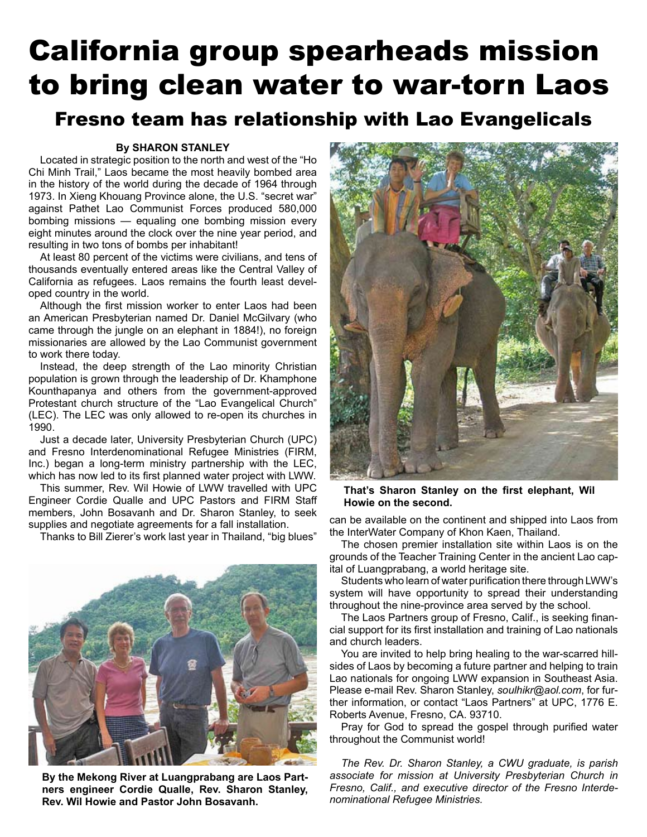# California group spearheads mission to bring clean water to war-torn Laos

## Fresno team has relationship with Lao Evangelicals

#### **By SHARON STANLEY**

Located in strategic position to the north and west of the "Ho Chi Minh Trail," Laos became the most heavily bombed area in the history of the world during the decade of 1964 through 1973. In Xieng Khouang Province alone, the U.S. "secret war" against Pathet Lao Communist Forces produced 580,000 bombing missions — equaling one bombing mission every eight minutes around the clock over the nine year period, and resulting in two tons of bombs per inhabitant!

At least 80 percent of the victims were civilians, and tens of thousands eventually entered areas like the Central Valley of California as refugees. Laos remains the fourth least developed country in the world.

Although the first mission worker to enter Laos had been an American Presbyterian named Dr. Daniel McGilvary (who came through the jungle on an elephant in 1884!), no foreign missionaries are allowed by the Lao Communist government to work there today.

Instead, the deep strength of the Lao minority Christian population is grown through the leadership of Dr. Khamphone Kounthapanya and others from the government-approved Protestant church structure of the "Lao Evangelical Church" (LEC). The LEC was only allowed to re-open its churches in 1990.

Just a decade later, University Presbyterian Church (UPC) and Fresno Interdenominational Refugee Ministries (FIRM, Inc.) began a long-term ministry partnership with the LEC, which has now led to its first planned water project with LWW.

This summer, Rev. Wil Howie of LWW travelled with UPC Engineer Cordie Qualle and UPC Pastors and FIRM Staff members, John Bosavanh and Dr. Sharon Stanley, to seek supplies and negotiate agreements for a fall installation.

Thanks to Bill Zierer's work last year in Thailand, "big blues"



**By the Mekong River at Luangprabang are Laos Partners engineer Cordie Qualle, Rev. Sharon Stanley, Rev. Wil Howie and Pastor John Bosavanh.**



**That's Sharon Stanley on the first elephant, Wil Howie on the second.**

can be available on the continent and shipped into Laos from the InterWater Company of Khon Kaen, Thailand.

The chosen premier installation site within Laos is on the grounds of the Teacher Training Center in the ancient Lao capital of Luangprabang, a world heritage site.

Students who learn of water purification there through LWW's system will have opportunity to spread their understanding throughout the nine-province area served by the school.

The Laos Partners group of Fresno, Calif., is seeking financial support for its first installation and training of Lao nationals and church leaders.

You are invited to help bring healing to the war-scarred hillsides of Laos by becoming a future partner and helping to train Lao nationals for ongoing LWW expansion in Southeast Asia. Please e-mail Rev. Sharon Stanley, *soulhikr@aol.com*, for further information, or contact "Laos Partners" at UPC, 1776 E. Roberts Avenue, Fresno, CA. 93710.

Pray for God to spread the gospel through purified water throughout the Communist world!

*The Rev. Dr. Sharon Stanley, a CWU graduate, is parish associate for mission at University Presbyterian Church in Fresno, Calif., and executive director of the Fresno Interdenominational Refugee Ministries.*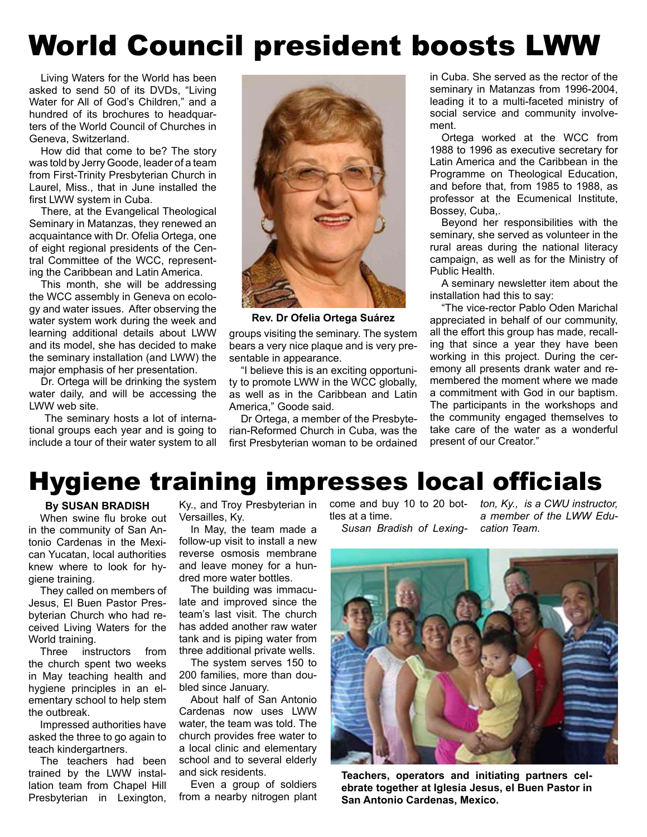# World Council president boosts LWW

Living Waters for the World has been asked to send 50 of its DVDs, "Living Water for All of God's Children," and a hundred of its brochures to headquarters of the World Council of Churches in Geneva, Switzerland.

How did that come to be? The story was told by Jerry Goode, leader of a team from First-Trinity Presbyterian Church in Laurel, Miss., that in June installed the first LWW system in Cuba.

There, at the Evangelical Theological Seminary in Matanzas, they renewed an acquaintance with Dr. Ofelia Ortega, one of eight regional presidents of the Central Committee of the WCC, representing the Caribbean and Latin America.

This month, she will be addressing the WCC assembly in Geneva on ecology and water issues. After observing the water system work during the week and learning additional details about LWW and its model, she has decided to make the seminary installation (and LWW) the major emphasis of her presentation.

Dr. Ortega will be drinking the system water daily, and will be accessing the LWW web site.

The seminary hosts a lot of international groups each year and is going to include a tour of their water system to all



**Rev. Dr Ofelia Ortega Suárez**

groups visiting the seminary. The system bears a very nice plaque and is very presentable in appearance.

"I believe this is an exciting opportunity to promote LWW in the WCC globally, as well as in the Caribbean and Latin America," Goode said.

Dr Ortega, a member of the Presbyterian-Reformed Church in Cuba, was the first Presbyterian woman to be ordained in Cuba. She served as the rector of the seminary in Matanzas from 1996-2004, leading it to a multi-faceted ministry of social service and community involvement.

Ortega worked at the WCC from 1988 to 1996 as executive secretary for Latin America and the Caribbean in the Programme on Theological Education, and before that, from 1985 to 1988, as professor at the Ecumenical Institute, Bossey, Cuba,.

Beyond her responsibilities with the seminary, she served as volunteer in the rural areas during the national literacy campaign, as well as for the Ministry of Public Health.

A seminary newsletter item about the installation had this to say:

"The vice-rector Pablo Oden Marichal appreciated in behalf of our community, all the effort this group has made, recalling that since a year they have been working in this project. During the ceremony all presents drank water and remembered the moment where we made a commitment with God in our baptism. The participants in the workshops and the community engaged themselves to take care of the water as a wonderful present of our Creator."

## Hygiene training impresses local officials

## **By SUSAN BRADISH**

When swine flu broke out in the community of San Antonio Cardenas in the Mexican Yucatan, local authorities knew where to look for hygiene training.

They called on members of Jesus, El Buen Pastor Presbyterian Church who had received Living Waters for the World training.

Three instructors from the church spent two weeks in May teaching health and hygiene principles in an elementary school to help stem the outbreak.

Impressed authorities have asked the three to go again to teach kindergartners.

The teachers had been trained by the LWW installation team from Chapel Hill Presbyterian in Lexington,

Versailles, Ky.

In May, the team made a follow-up visit to install a new reverse osmosis membrane and leave money for a hundred more water bottles.

The building was immaculate and improved since the team's last visit. The church has added another raw water tank and is piping water from three additional private wells.

The system serves 150 to 200 families, more than doubled since January.

About half of San Antonio Cardenas now uses LWW water, the team was told. The church provides free water to a local clinic and elementary school and to several elderly and sick residents.

Even a group of soldiers from a nearby nitrogen plant tles at a time.

*Susan Bradish of Lexing-*

Ky., and Troy Presbyterian in come and buy 10 to 20 bot-*ton, Ky., is a CWU instructor, a member of the LWW Education Team.*



**Teachers, operators and initiating partners celebrate together at Iglesia Jesus, el Buen Pastor in San Antonio Cardenas, Mexico.**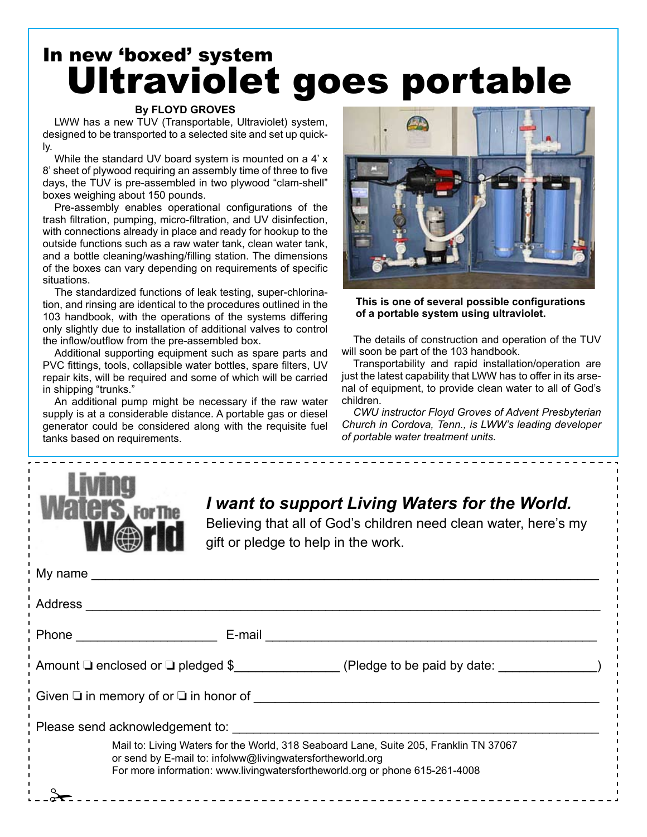# In new 'boxed' system Ultraviolet goes portable

## **By FLOYD GROVES**

LWW has a new TUV (Transportable, Ultraviolet) system, designed to be transported to a selected site and set up quickly.

While the standard UV board system is mounted on a 4' x 8' sheet of plywood requiring an assembly time of three to five days, the TUV is pre-assembled in two plywood "clam-shell" boxes weighing about 150 pounds.

Pre-assembly enables operational configurations of the trash filtration, pumping, micro-filtration, and UV disinfection, with connections already in place and ready for hookup to the outside functions such as a raw water tank, clean water tank, and a bottle cleaning/washing/filling station. The dimensions of the boxes can vary depending on requirements of specific situations.

The standardized functions of leak testing, super-chlorination, and rinsing are identical to the procedures outlined in the 103 handbook, with the operations of the systems differing only slightly due to installation of additional valves to control the inflow/outflow from the pre-assembled box.

Additional supporting equipment such as spare parts and PVC fittings, tools, collapsible water bottles, spare filters, UV repair kits, will be required and some of which will be carried in shipping "trunks."

An additional pump might be necessary if the raw water supply is at a considerable distance. A portable gas or diesel generator could be considered along with the requisite fuel tanks based on requirements.



**This is one of several possible configurations of a portable system using ultraviolet.**

The details of construction and operation of the TUV will soon be part of the 103 handbook.

Transportability and rapid installation/operation are just the latest capability that LWW has to offer in its arsenal of equipment, to provide clean water to all of God's children.

*CWU instructor Floyd Groves of Advent Presbyterian Church in Cordova, Tenn., is LWW's leading developer of portable water treatment units.*



## *I want to support Living Waters for the World.*

Believing that all of God's children need clean water, here's my gift or pledge to help in the work.

| Address                                                                                                                                                                                                                           |  |  |  |
|-----------------------------------------------------------------------------------------------------------------------------------------------------------------------------------------------------------------------------------|--|--|--|
|                                                                                                                                                                                                                                   |  |  |  |
| Amount $\Box$ enclosed or $\Box$ pledged \$ (Pledge to be paid by date:                                                                                                                                                           |  |  |  |
| Given $\Box$ in memory of or $\Box$ in honor of                                                                                                                                                                                   |  |  |  |
|                                                                                                                                                                                                                                   |  |  |  |
| Mail to: Living Waters for the World, 318 Seaboard Lane, Suite 205, Franklin TN 37067<br>or send by E-mail to: infolww@livingwatersfortheworld.org<br>For more information: www.livingwatersfortheworld.org or phone 615-261-4008 |  |  |  |
|                                                                                                                                                                                                                                   |  |  |  |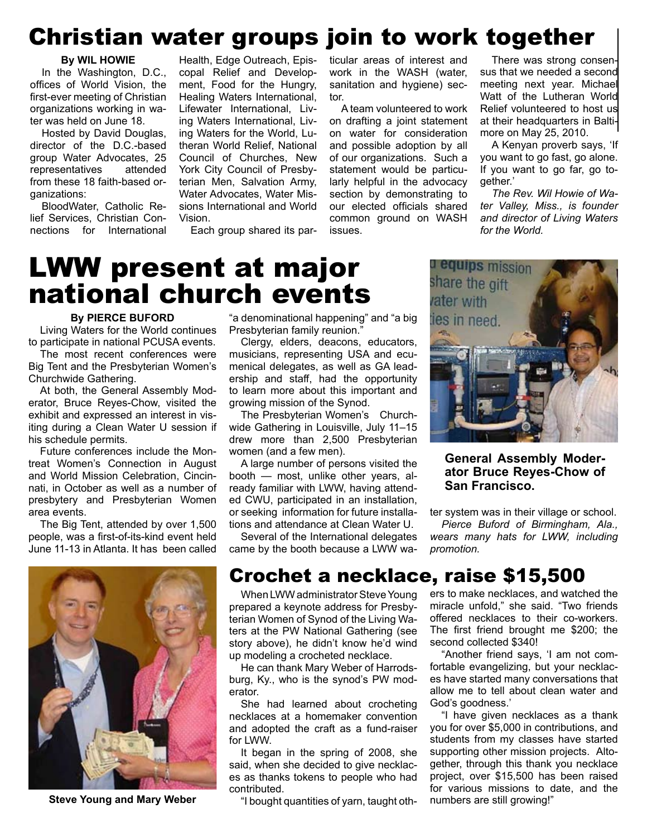## Christian water groups join to work together

#### **By WIL HOWIE**

In the Washington, D.C., offices of World Vision, the first-ever meeting of Christian organizations working in water was held on June 18.

Hosted by David Douglas, director of the D.C.-based group Water Advocates, 25 representatives attended from these 18 faith-based organizations:

BloodWater, Catholic Relief Services, Christian Connections for International

Health, Edge Outreach, Episcopal Relief and Development, Food for the Hungry, Healing Waters International, Lifewater International, Living Waters International, Living Waters for the World, Lutheran World Relief, National Council of Churches, New York City Council of Presbyterian Men, Salvation Army, Water Advocates, Water Missions International and World Vision.

Each group shared its par-

ticular areas of interest and work in the WASH (water, sanitation and hygiene) sector.

A team volunteered to work on drafting a joint statement on water for consideration and possible adoption by all of our organizations. Such a statement would be particularly helpful in the advocacy section by demonstrating to our elected officials shared common ground on WASH issues.

There was strong consensus that we needed a second meeting next year. Michael Watt of the Lutheran World Relief volunteered to host us at their headquarters in Baltimore on May 25, 2010.

A Kenyan proverb says, 'If you want to go fast, go alone. If you want to go far, go together.'

*The Rev. Wil Howie of Water Valley, Miss., is founder and director of Living Waters for the World.*

# LWW present at major national church events

#### **By PIERCE BUFORD**

Living Waters for the World continues to participate in national PCUSA events.

The most recent conferences were Big Tent and the Presbyterian Women's Churchwide Gathering.

At both, the General Assembly Moderator, Bruce Reyes-Chow, visited the exhibit and expressed an interest in visiting during a Clean Water U session if his schedule permits.

Future conferences include the Montreat Women's Connection in August and World Mission Celebration, Cincinnati, in October as well as a number of presbytery and Presbyterian Women area events.

The Big Tent, attended by over 1,500 people, was a first-of-its-kind event held June 11-13 in Atlanta. It has been called



"a denominational happening" and "a big Presbyterian family reunion."

Clergy, elders, deacons, educators, musicians, representing USA and ecumenical delegates, as well as GA leadership and staff, had the opportunity to learn more about this important and growing mission of the Synod.

The Presbyterian Women's Churchwide Gathering in Louisville, July 11–15 drew more than 2,500 Presbyterian women (and a few men).

A large number of persons visited the booth — most, unlike other years, already familiar with LWW, having attended CWU, participated in an installation, or seeking information for future installations and attendance at Clean Water U.

Several of the International delegates came by the booth because a LWW wa-



## **General Assembly Moderator Bruce Reyes-Chow of San Francisco.**

ter system was in their village or school.

*Pierce Buford of Birmingham, Ala., wears many hats for LWW, including promotion.*

## Crochet a necklace, raise \$15,500

When LWW administrator Steve Young prepared a keynote address for Presbyterian Women of Synod of the Living Waters at the PW National Gathering (see story above), he didn't know he'd wind up modeling a crocheted necklace.

He can thank Mary Weber of Harrodsburg, Ky., who is the synod's PW moderator.

She had learned about crocheting necklaces at a homemaker convention and adopted the craft as a fund-raiser for LWW.

It began in the spring of 2008, she said, when she decided to give necklaces as thanks tokens to people who had contributed.

**Steve Young and Mary Weber** "I bought quantities of yarn, taught oth- numbers are still growing!"

ers to make necklaces, and watched the miracle unfold," she said. "Two friends offered necklaces to their co-workers. The first friend brought me \$200; the second collected \$340!

"Another friend says, 'I am not comfortable evangelizing, but your necklaces have started many conversations that allow me to tell about clean water and God's goodness.'

"I have given necklaces as a thank you for over \$5,000 in contributions, and students from my classes have started supporting other mission projects. Altogether, through this thank you necklace project, over \$15,500 has been raised for various missions to date, and the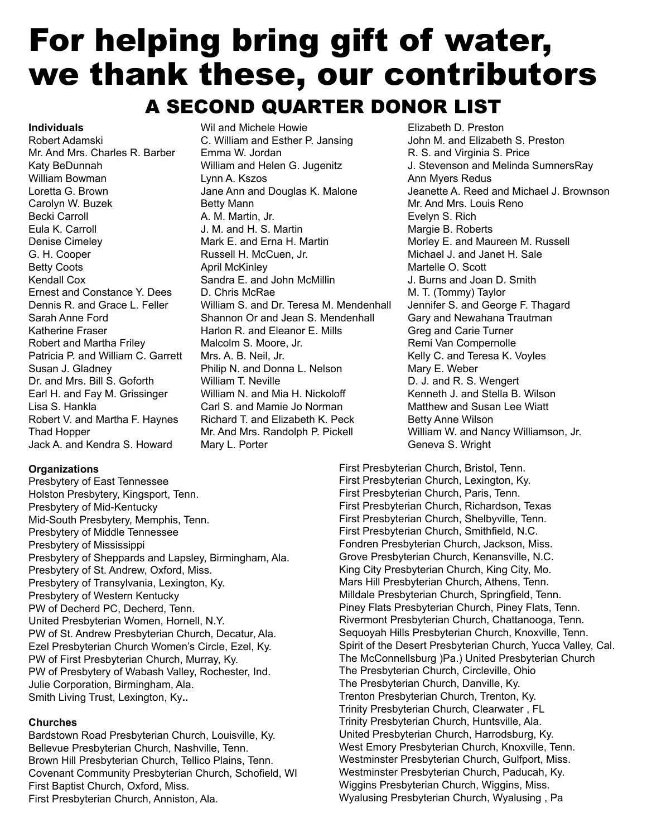# For helping bring gift of water, we thank these, our contributors A SECOND QUARTER DONOR LIST

**Individuals** Robert Adamski Mr. And Mrs. Charles R. Barber Katy BeDunnah William Bowman Loretta G. Brown Carolyn W. Buzek Becki Carroll Eula K. Carroll Denise Cimeley G. H. Cooper Betty Coots Kendall Cox Ernest and Constance Y. Dees Dennis R. and Grace L. Feller Sarah Anne Ford Katherine Fraser Robert and Martha Friley Patricia P. and William C. Garrett Susan J. Gladney Dr. and Mrs. Bill S. Goforth Earl H. and Fay M. Grissinger Lisa S. Hankla Robert V. and Martha F. Haynes Thad Hopper Jack A. and Kendra S. Howard

# Mary L. Porter

## Wil and Michele Howie C. William and Esther P. Jansing Emma W. Jordan William and Helen G. Jugenitz Lynn A. Kszos Jane Ann and Douglas K. Malone Betty Mann A. M. Martin, Jr. J. M. and H. S. Martin Mark E. and Erna H. Martin Russell H. McCuen, Jr. April McKinley Sandra E. and John McMillin D. Chris McRae William S. and Dr. Teresa M. Mendenhall Shannon Or and Jean S. Mendenhall Harlon R. and Eleanor E. Mills Malcolm S. Moore, Jr. Mrs. A. B. Neil, Jr. Philip N. and Donna L. Nelson William T. Neville William N. and Mia H. Nickoloff Carl S. and Mamie Jo Norman Richard T. and Elizabeth K. Peck Mr. And Mrs. Randolph P. Pickell

#### **Organizations**

Presbytery of East Tennessee Holston Presbytery, Kingsport, Tenn. Presbytery of Mid-Kentucky Mid-South Presbytery, Memphis, Tenn. Presbytery of Middle Tennessee Presbytery of Mississippi Presbytery of Sheppards and Lapsley, Birmingham, Ala. Presbytery of St. Andrew, Oxford, Miss. Presbytery of Transylvania, Lexington, Ky. Presbytery of Western Kentucky PW of Decherd PC, Decherd, Tenn. United Presbyterian Women, Hornell, N.Y. PW of St. Andrew Presbyterian Church, Decatur, Ala. Ezel Presbyterian Church Women's Circle, Ezel, Ky. PW of First Presbyterian Church, Murray, Ky. PW of Presbytery of Wabash Valley, Rochester, Ind. Julie Corporation, Birmingham, Ala. Smith Living Trust, Lexington, Ky**..**

## **Churches**

Bardstown Road Presbyterian Church, Louisville, Ky. Bellevue Presbyterian Church, Nashville, Tenn. Brown Hill Presbyterian Church, Tellico Plains, Tenn. Covenant Community Presbyterian Church, Schofield, WI First Baptist Church, Oxford, Miss. First Presbyterian Church, Anniston, Ala.

Elizabeth D. Preston John M. and Elizabeth S. Preston R. S. and Virginia S. Price J. Stevenson and Melinda SumnersRay Ann Myers Redus Jeanette A. Reed and Michael J. Brownson Mr. And Mrs. Louis Reno Evelyn S. Rich Margie B. Roberts Morley E. and Maureen M. Russell Michael J. and Janet H. Sale Martelle O. Scott J. Burns and Joan D. Smith M. T. (Tommy) Taylor Jennifer S. and George F. Thagard Gary and Newahana Trautman Greg and Carie Turner Remi Van Compernolle Kelly C. and Teresa K. Voyles Mary E. Weber D. J. and R. S. Wengert Kenneth J. and Stella B. Wilson Matthew and Susan Lee Wiatt Betty Anne Wilson William W. and Nancy Williamson, Jr. Geneva S. Wright

First Presbyterian Church, Bristol, Tenn. First Presbyterian Church, Lexington, Ky. First Presbyterian Church, Paris, Tenn. First Presbyterian Church, Richardson, Texas First Presbyterian Church, Shelbyville, Tenn. First Presbyterian Church, Smithfield, N.C. Fondren Presbyterian Church, Jackson, Miss. Grove Presbyterian Church, Kenansville, N.C. King City Presbyterian Church, King City, Mo. Mars Hill Presbyterian Church, Athens, Tenn. Milldale Presbyterian Church, Springfield, Tenn. Piney Flats Presbyterian Church, Piney Flats, Tenn. Rivermont Presbyterian Church, Chattanooga, Tenn. Sequoyah Hills Presbyterian Church, Knoxville, Tenn. Spirit of the Desert Presbyterian Church, Yucca Valley, Cal. The McConnellsburg )Pa.) United Presbyterian Church The Presbyterian Church, Circleville, Ohio The Presbyterian Church, Danville, Ky. Trenton Presbyterian Church, Trenton, Ky. Trinity Presbyterian Church, Clearwater , FL Trinity Presbyterian Church, Huntsville, Ala. United Presbyterian Church, Harrodsburg, Ky. West Emory Presbyterian Church, Knoxville, Tenn. Westminster Presbyterian Church, Gulfport, Miss. Westminster Presbyterian Church, Paducah, Ky. Wiggins Presbyterian Church, Wiggins, Miss. Wyalusing Presbyterian Church, Wyalusing , Pa